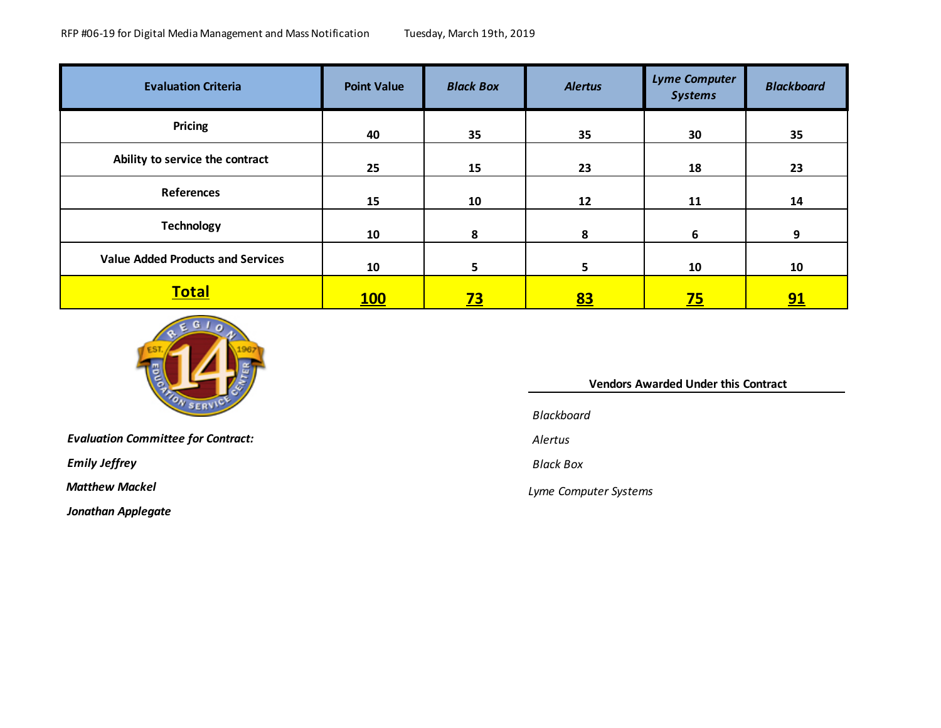| <b>Evaluation Criteria</b>               | <b>Point Value</b> | <b>Black Box</b> | <b>Alertus</b> | <b>Lyme Computer</b><br><b>Systems</b> | <b>Blackboard</b> |
|------------------------------------------|--------------------|------------------|----------------|----------------------------------------|-------------------|
| Pricing                                  | 40                 | 35               | 35             | 30                                     | 35                |
| Ability to service the contract          | 25                 | 15               | 23             | 18                                     | 23                |
| <b>References</b>                        | 15                 | 10               | 12             | 11                                     | 14                |
| <b>Technology</b>                        | 10                 | 8                | 8              | 6                                      | 9                 |
| <b>Value Added Products and Services</b> | 10                 | 5                | 5              | 10                                     | 10                |
| <u>Total</u>                             | <u>100</u>         | <u>73</u>        | <u>83</u>      | $\overline{25}$                        | <u>91</u>         |



*Evaluation Committee for Contract: Alertus*

*Emily Jeffrey Black Box*

*Jonathan Applegate*

## **Vendors Awarded Under this Contract**

*Blackboard*

 *Matthew Mackel Lyme Computer Systems*